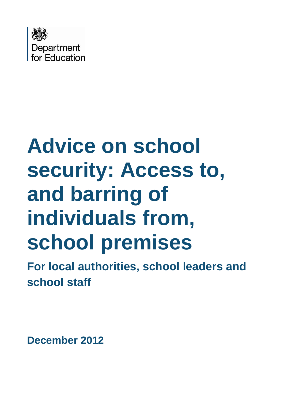

# **Advice on school security: Access to, and barring of individuals from, school premises**

**For local authorities, school leaders and school staff**

**December 2012**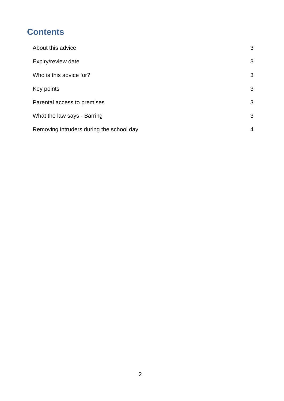# **Contents**

| About this advice                        | 3              |
|------------------------------------------|----------------|
| Expiry/review date                       | 3              |
| Who is this advice for?                  | 3              |
| Key points                               | 3              |
| Parental access to premises              | 3              |
| What the law says - Barring              | 3              |
| Removing intruders during the school day | $\overline{4}$ |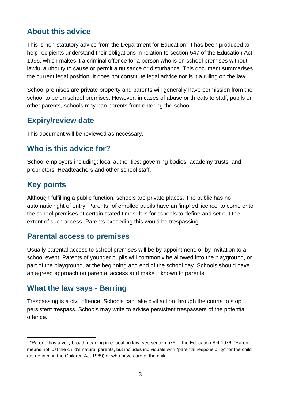# <span id="page-2-0"></span>**About this advice**

This is non-statutory advice from the Department for Education. It has been produced to help recipients understand their obligations in relation to section 547 of the Education Act 1996, which makes it a criminal offence for a person who is on school premises without lawful authority to cause or permit a nuisance or disturbance. This document summarises the current legal position. It does not constitute legal advice nor is it a ruling on the law.

School premises are private property and parents will generally have permission from the school to be on school premises. However, in cases of abuse or threats to staff, pupils or other parents, schools may ban parents from entering the school.

#### <span id="page-2-1"></span>**Expiry/review date**

This document will be reviewed as necessary.

#### <span id="page-2-2"></span>**Who is this advice for?**

School employers including: local authorities; governing bodies; academy trusts; and proprietors. Headteachers and other school staff.

# <span id="page-2-3"></span>**Key points**

 $\overline{a}$ 

Although fulfilling a public function, schools are private places. The public has no automatic right of entry. Parents <sup>1</sup>of enrolled pupils have an 'implied licence' to come onto the school premises at certain stated times. It is for schools to define and set out the extent of such access. Parents exceeding this would be trespassing.

#### <span id="page-2-4"></span>**Parental access to premises**

Usually parental access to school premises will be by appointment, or by invitation to a school event. Parents of younger pupils will commonly be allowed into the playground, or part of the playground, at the beginning and end of the school day. Schools should have an agreed approach on parental access and make it known to parents.

#### <span id="page-2-5"></span>**What the law says - Barring**

Trespassing is a civil offence. Schools can take civil action through the courts to stop persistent trespass. Schools may write to advise persistent trespassers of the potential offence.

<sup>&</sup>lt;sup>1</sup> "Parent" has a very broad meaning in education law: see section 576 of the Education Act 1976. "Parent" means not just the child's natural parents, but includes individuals with "parental responsibility" for the child (as defined in the Children Act 1989) or who have care of the child.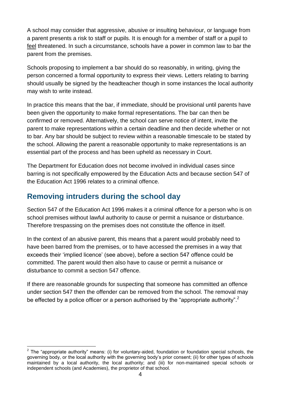A school may consider that aggressive, abusive or insulting behaviour, or language from a parent presents a risk to staff or pupils. It is enough for a member of staff or a pupil to feel threatened. In such a circumstance, schools have a power in common law to bar the parent from the premises.

Schools proposing to implement a bar should do so reasonably, in writing, giving the person concerned a formal opportunity to express their views. Letters relating to barring should usually be signed by the headteacher though in some instances the local authority may wish to write instead.

In practice this means that the bar, if immediate, should be provisional until parents have been given the opportunity to make formal representations. The bar can then be confirmed or removed. Alternatively, the school can serve notice of intent, invite the parent to make representations within a certain deadline and then decide whether or not to bar. Any bar should be subject to review within a reasonable timescale to be stated by the school. Allowing the parent a reasonable opportunity to make representations is an essential part of the process and has been upheld as necessary in Court.

The Department for Education does not become involved in individual cases since barring is not specifically empowered by the Education Acts and because section 547 of the Education Act 1996 relates to a criminal offence.

# <span id="page-3-0"></span>**Removing intruders during the school day**

Section 547 of the Education Act 1996 makes it a criminal offence for a person who is on school premises without lawful authority to cause or permit a nuisance or disturbance. Therefore trespassing on the premises does not constitute the offence in itself.

In the context of an abusive parent, this means that a parent would probably need to have been barred from the premises, or to have accessed the premises in a way that exceeds their 'implied licence' (see above), before a section 547 offence could be committed. The parent would then also have to cause or permit a nuisance or disturbance to commit a section 547 offence.

If there are reasonable grounds for suspecting that someone has committed an offence under section 547 then the offender can be removed from the school. The removal may be effected by a police officer or a person authorised by the "appropriate authority".<sup>2</sup>

 $\overline{a}$  $2$  The "appropriate authority" means: (i) for voluntary-aided, foundation or foundation special schools, the governing body, or the local authority with the governing body's prior consent; (ii) for other types of schools maintained by a local authority, the local authority; and (iii) for non-maintained special schools or independent schools (and Academies), the proprietor of that school.